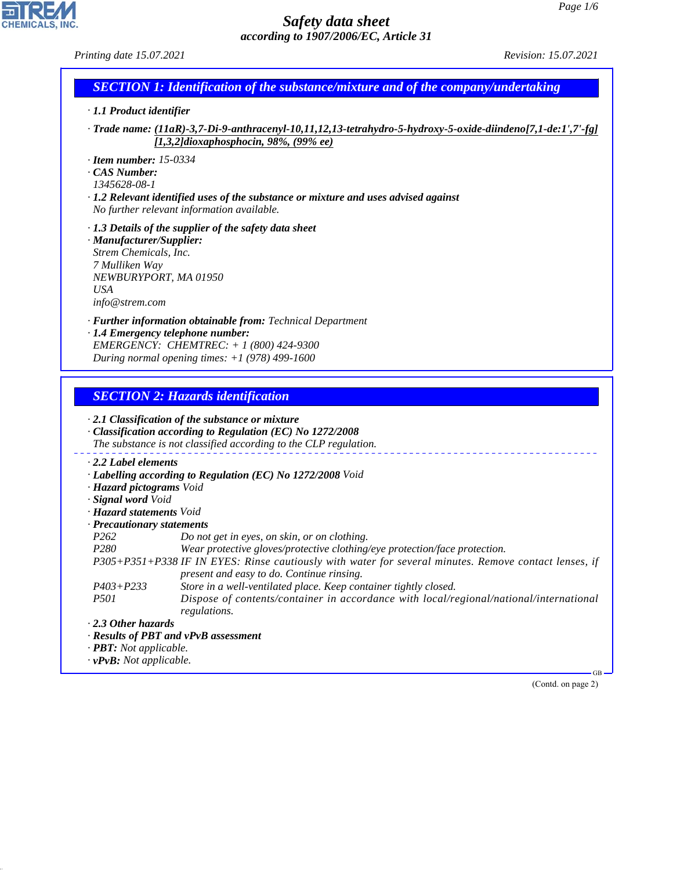# **CHEMICALS, INC.**

44.1.1

### *Safety data sheet according to 1907/2006/EC, Article 31*

*Printing date 15.07.2021 Revision: 15.07.2021*

| <b>SECTION 1: Identification of the substance/mixture and of the company/undertaking</b> |  |
|------------------------------------------------------------------------------------------|--|
|                                                                                          |  |

- *· 1.1 Product identifier*
- *· Trade name: (11aR)-3,7-Di-9-anthracenyl-10,11,12,13-tetrahydro-5-hydroxy-5-oxide-diindeno[7,1-de:1',7'-fg] [1,3,2]dioxaphosphocin, 98%, (99% ee)*
- *· Item number: 15-0334*
- *· CAS Number:*
- *1345628-08-1*
- *· 1.2 Relevant identified uses of the substance or mixture and uses advised against No further relevant information available.*
- *· 1.3 Details of the supplier of the safety data sheet*
- *· Manufacturer/Supplier: Strem Chemicals, Inc. 7 Mulliken Way NEWBURYPORT, MA 01950 USA info@strem.com*
- *· Further information obtainable from: Technical Department*
- *· 1.4 Emergency telephone number: EMERGENCY: CHEMTREC: + 1 (800) 424-9300 During normal opening times: +1 (978) 499-1600*

## *SECTION 2: Hazards identification*

|                                      | $\cdot$ 2.1 Classification of the substance or mixture<br>$\cdot$ Classification according to Regulation (EC) No 1272/2008<br>The substance is not classified according to the CLP regulation. |
|--------------------------------------|------------------------------------------------------------------------------------------------------------------------------------------------------------------------------------------------|
| $\cdot$ 2.2 Label elements           |                                                                                                                                                                                                |
|                                      | $\cdot$ Labelling according to Regulation (EC) No 1272/2008 Void                                                                                                                               |
| · Hazard pictograms Void             |                                                                                                                                                                                                |
| · Signal word Void                   |                                                                                                                                                                                                |
| · <b>Hazard statements</b> Void      |                                                                                                                                                                                                |
| $\cdot$ Precautionary statements     |                                                                                                                                                                                                |
| P <sub>262</sub>                     | Do not get in eyes, on skin, or on clothing.                                                                                                                                                   |
| <i>P280</i>                          | Wear protective gloves/protective clothing/eye protection/face protection.                                                                                                                     |
|                                      | P305+P351+P338 IF IN EYES: Rinse cautiously with water for several minutes. Remove contact lenses, if<br>present and easy to do. Continue rinsing.                                             |
| $P403 + P233$                        | Store in a well-ventilated place. Keep container tightly closed.                                                                                                                               |
| <i>P501</i>                          | Dispose of contents/container in accordance with local/regional/national/international<br>regulations.                                                                                         |
| $\cdot$ 2.3 Other hazards            |                                                                                                                                                                                                |
|                                      | · Results of PBT and vPvB assessment                                                                                                                                                           |
| $\cdot$ <b>PBT</b> : Not applicable. |                                                                                                                                                                                                |
| $\cdot$ vPvB: Not applicable.        |                                                                                                                                                                                                |
|                                      | <b>GB</b>                                                                                                                                                                                      |

(Contd. on page 2)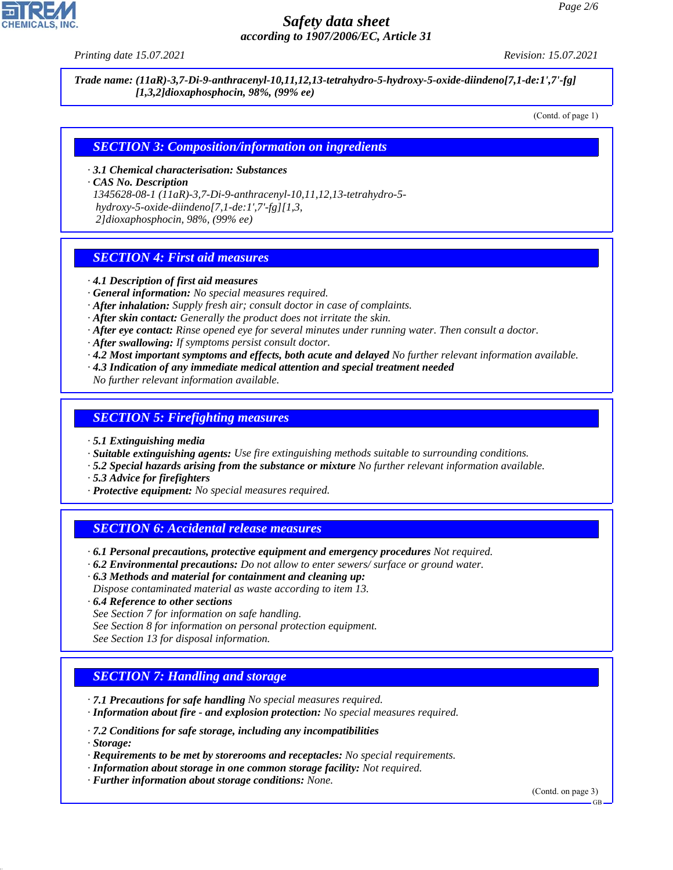

### *Safety data sheet according to 1907/2006/EC, Article 31*

*Printing date 15.07.2021 Revision: 15.07.2021*

*Trade name: (11aR)-3,7-Di-9-anthracenyl-10,11,12,13-tetrahydro-5-hydroxy-5-oxide-diindeno[7,1-de:1',7'-fg] [1,3,2]dioxaphosphocin, 98%, (99% ee)*

(Contd. of page 1)

#### *SECTION 3: Composition/information on ingredients*

*· 3.1 Chemical characterisation: Substances*

*· CAS No. Description*

*1345628-08-1 (11aR)-3,7-Di-9-anthracenyl-10,11,12,13-tetrahydro-5 hydroxy-5-oxide-diindeno[7,1-de:1',7'-fg][1,3, 2]dioxaphosphocin, 98%, (99% ee)*

#### *SECTION 4: First aid measures*

- *· 4.1 Description of first aid measures*
- *· General information: No special measures required.*
- *· After inhalation: Supply fresh air; consult doctor in case of complaints.*
- *· After skin contact: Generally the product does not irritate the skin.*
- *· After eye contact: Rinse opened eye for several minutes under running water. Then consult a doctor.*
- *· After swallowing: If symptoms persist consult doctor.*
- *· 4.2 Most important symptoms and effects, both acute and delayed No further relevant information available.*
- *· 4.3 Indication of any immediate medical attention and special treatment needed*
- *No further relevant information available.*

#### *SECTION 5: Firefighting measures*

- *· 5.1 Extinguishing media*
- *· Suitable extinguishing agents: Use fire extinguishing methods suitable to surrounding conditions.*
- *· 5.2 Special hazards arising from the substance or mixture No further relevant information available.*
- *· 5.3 Advice for firefighters*
- *· Protective equipment: No special measures required.*

#### *SECTION 6: Accidental release measures*

- *· 6.1 Personal precautions, protective equipment and emergency procedures Not required.*
- *· 6.2 Environmental precautions: Do not allow to enter sewers/ surface or ground water.*
- *· 6.3 Methods and material for containment and cleaning up:*
- *Dispose contaminated material as waste according to item 13.*
- *· 6.4 Reference to other sections*
- *See Section 7 for information on safe handling.*
- *See Section 8 for information on personal protection equipment.*
- *See Section 13 for disposal information.*

#### *SECTION 7: Handling and storage*

- *· 7.1 Precautions for safe handling No special measures required.*
- *· Information about fire and explosion protection: No special measures required.*
- *· 7.2 Conditions for safe storage, including any incompatibilities*
- *· Storage:*

44.1.1

- *· Requirements to be met by storerooms and receptacles: No special requirements.*
- *· Information about storage in one common storage facility: Not required.*
- *· Further information about storage conditions: None.*

(Contd. on page 3)

GB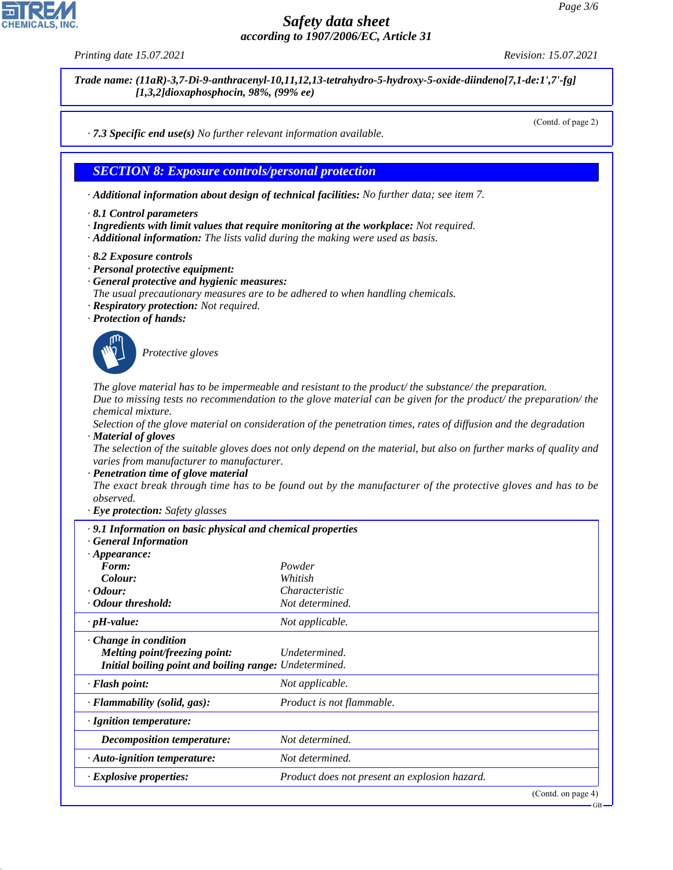#### *Safety data sheet according to 1907/2006/EC, Article 31*

*Printing date 15.07.2021 Revision: 15.07.2021*

*Trade name: (11aR)-3,7-Di-9-anthracenyl-10,11,12,13-tetrahydro-5-hydroxy-5-oxide-diindeno[7,1-de:1',7'-fg] [1,3,2]dioxaphosphocin, 98%, (99% ee)*

(Contd. of page 2)

*· 7.3 Specific end use(s) No further relevant information available.*

#### *SECTION 8: Exposure controls/personal protection*

*· Additional information about design of technical facilities: No further data; see item 7.*

- *· 8.1 Control parameters*
- *· Ingredients with limit values that require monitoring at the workplace: Not required.*
- *· Additional information: The lists valid during the making were used as basis.*
- *· 8.2 Exposure controls*
- *· Personal protective equipment:*
- *· General protective and hygienic measures:*
- *The usual precautionary measures are to be adhered to when handling chemicals.*
- *· Respiratory protection: Not required.*
- *· Protection of hands:*



\_S*Protective gloves*

*The glove material has to be impermeable and resistant to the product/ the substance/ the preparation. Due to missing tests no recommendation to the glove material can be given for the product/ the preparation/ the chemical mixture.*

*Selection of the glove material on consideration of the penetration times, rates of diffusion and the degradation · Material of gloves*

*The selection of the suitable gloves does not only depend on the material, but also on further marks of quality and varies from manufacturer to manufacturer.*

*· Penetration time of glove material*

*The exact break through time has to be found out by the manufacturer of the protective gloves and has to be observed.*

*· Eye protection: Safety glasses*

| $\cdot$ 9.1 Information on basic physical and chemical properties<br><b>General Information</b>                        |                                               |  |
|------------------------------------------------------------------------------------------------------------------------|-----------------------------------------------|--|
| $\cdot$ Appearance:                                                                                                    |                                               |  |
| Form:                                                                                                                  | Powder                                        |  |
| Colour:                                                                                                                | Whitish                                       |  |
| $\cdot$ Odour:                                                                                                         | Characteristic                                |  |
| · Odour threshold:                                                                                                     | Not determined.                               |  |
| $\cdot$ pH-value:                                                                                                      | Not applicable.                               |  |
| $\cdot$ Change in condition<br>Melting point/freezing point:<br>Initial boiling point and boiling range: Undetermined. | Undetermined.                                 |  |
| $\cdot$ Flash point:                                                                                                   | Not applicable.                               |  |
| $\cdot$ Flammability (solid, gas):                                                                                     | Product is not flammable.                     |  |
| $\cdot$ Ignition temperature:                                                                                          |                                               |  |
| <i>Decomposition temperature:</i>                                                                                      | Not determined.                               |  |
| $\cdot$ Auto-ignition temperature:                                                                                     | Not determined.                               |  |
| · Explosive properties:                                                                                                | Product does not present an explosion hazard. |  |
|                                                                                                                        | (Contd. on page 4)                            |  |



44.1.1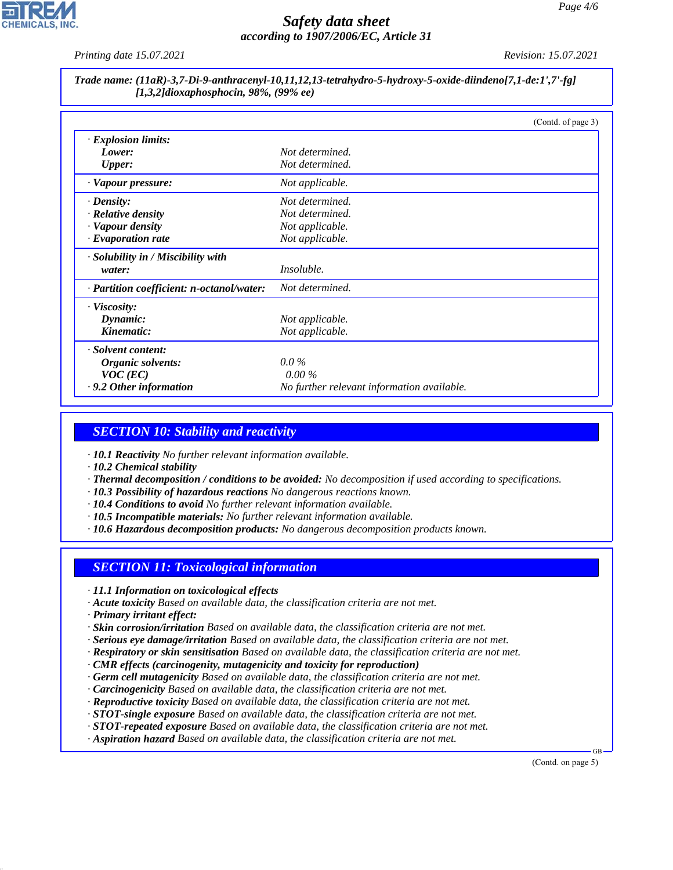

### *Safety data sheet according to 1907/2006/EC, Article 31*

*Printing date 15.07.2021 Revision: 15.07.2021*

#### *Trade name: (11aR)-3,7-Di-9-anthracenyl-10,11,12,13-tetrahydro-5-hydroxy-5-oxide-diindeno[7,1-de:1',7'-fg] [1,3,2]dioxaphosphocin, 98%, (99% ee)*

|                                           | (Contd. of page 3)                         |
|-------------------------------------------|--------------------------------------------|
| $\cdot$ Explosion limits:                 |                                            |
| Lower:                                    | Not determined.                            |
| <b>Upper:</b>                             | Not determined.                            |
| · Vapour pressure:                        | Not applicable.                            |
| $\cdot$ Density:                          | Not determined.                            |
| · Relative density                        | Not determined.                            |
| · Vapour density                          | Not applicable.                            |
| $\cdot$ Evaporation rate                  | Not applicable.                            |
| $\cdot$ Solubility in / Miscibility with  |                                            |
| water:                                    | <i>Insoluble.</i>                          |
| · Partition coefficient: n-octanol/water: | Not determined.                            |
| · Viscosity:                              |                                            |
| Dynamic:                                  | Not applicable.                            |
| Kinematic:                                | Not applicable.                            |
| · Solvent content:                        |                                            |
| Organic solvents:                         | $0.0\%$                                    |
| $VOC$ (EC)                                | $0.00\%$                                   |
| $\cdot$ 9.2 Other information             | No further relevant information available. |

#### *SECTION 10: Stability and reactivity*

*· 10.1 Reactivity No further relevant information available.*

*· 10.2 Chemical stability*

- *· Thermal decomposition / conditions to be avoided: No decomposition if used according to specifications.*
- *· 10.3 Possibility of hazardous reactions No dangerous reactions known.*
- *· 10.4 Conditions to avoid No further relevant information available.*
- *· 10.5 Incompatible materials: No further relevant information available.*
- *· 10.6 Hazardous decomposition products: No dangerous decomposition products known.*

#### *SECTION 11: Toxicological information*

- *· 11.1 Information on toxicological effects*
- *· Acute toxicity Based on available data, the classification criteria are not met.*
- *· Primary irritant effect:*

44.1.1

- *· Skin corrosion/irritation Based on available data, the classification criteria are not met.*
- *· Serious eye damage/irritation Based on available data, the classification criteria are not met.*
- *· Respiratory or skin sensitisation Based on available data, the classification criteria are not met.*
- *· CMR effects (carcinogenity, mutagenicity and toxicity for reproduction)*
- *· Germ cell mutagenicity Based on available data, the classification criteria are not met.*
- *· Carcinogenicity Based on available data, the classification criteria are not met.*
- *· Reproductive toxicity Based on available data, the classification criteria are not met.*
- *· STOT-single exposure Based on available data, the classification criteria are not met.*
- *· STOT-repeated exposure Based on available data, the classification criteria are not met.*
- *· Aspiration hazard Based on available data, the classification criteria are not met.*

(Contd. on page 5)

GB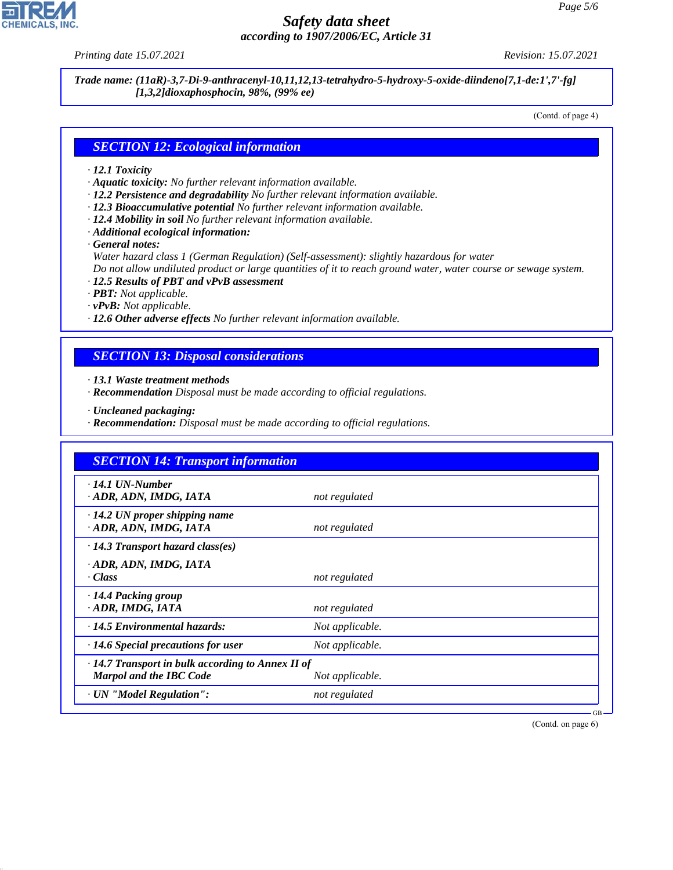44.1.1

*Safety data sheet according to 1907/2006/EC, Article 31*

*Printing date 15.07.2021 Revision: 15.07.2021*

*Trade name: (11aR)-3,7-Di-9-anthracenyl-10,11,12,13-tetrahydro-5-hydroxy-5-oxide-diindeno[7,1-de:1',7'-fg] [1,3,2]dioxaphosphocin, 98%, (99% ee)*

(Contd. of page 4)

#### *SECTION 12: Ecological information*

#### *· 12.1 Toxicity*

- *· Aquatic toxicity: No further relevant information available.*
- *· 12.2 Persistence and degradability No further relevant information available.*
- *· 12.3 Bioaccumulative potential No further relevant information available.*
- *· 12.4 Mobility in soil No further relevant information available.*
- *· Additional ecological information:*

*· General notes:*

*Water hazard class 1 (German Regulation) (Self-assessment): slightly hazardous for water*

*Do not allow undiluted product or large quantities of it to reach ground water, water course or sewage system.*

- *· 12.5 Results of PBT and vPvB assessment*
- *· PBT: Not applicable.*
- *· vPvB: Not applicable.*
- *· 12.6 Other adverse effects No further relevant information available.*

#### *SECTION 13: Disposal considerations*

*· 13.1 Waste treatment methods*

- *· Recommendation Disposal must be made according to official regulations.*
- *· Uncleaned packaging:*
- *· Recommendation: Disposal must be made according to official regulations.*

| <b>SECTION 14: Transport information</b>                                                  |                 |  |
|-------------------------------------------------------------------------------------------|-----------------|--|
| $\cdot$ 14.1 UN-Number<br>· ADR, ADN, IMDG, IATA                                          | not regulated   |  |
| $\cdot$ 14.2 UN proper shipping name<br>· ADR, ADN, IMDG, IATA                            | not regulated   |  |
| $\cdot$ 14.3 Transport hazard class(es)                                                   |                 |  |
| · ADR, ADN, IMDG, IATA<br>· Class                                                         | not regulated   |  |
| · 14.4 Packing group<br>· ADR, IMDG, IATA                                                 | not regulated   |  |
| $\cdot$ 14.5 Environmental hazards:                                                       | Not applicable. |  |
| $\cdot$ 14.6 Special precautions for user                                                 | Not applicable. |  |
| $\cdot$ 14.7 Transport in bulk according to Annex II of<br><b>Marpol and the IBC Code</b> | Not applicable. |  |
| · UN "Model Regulation":                                                                  | not regulated   |  |

(Contd. on page 6)

GB